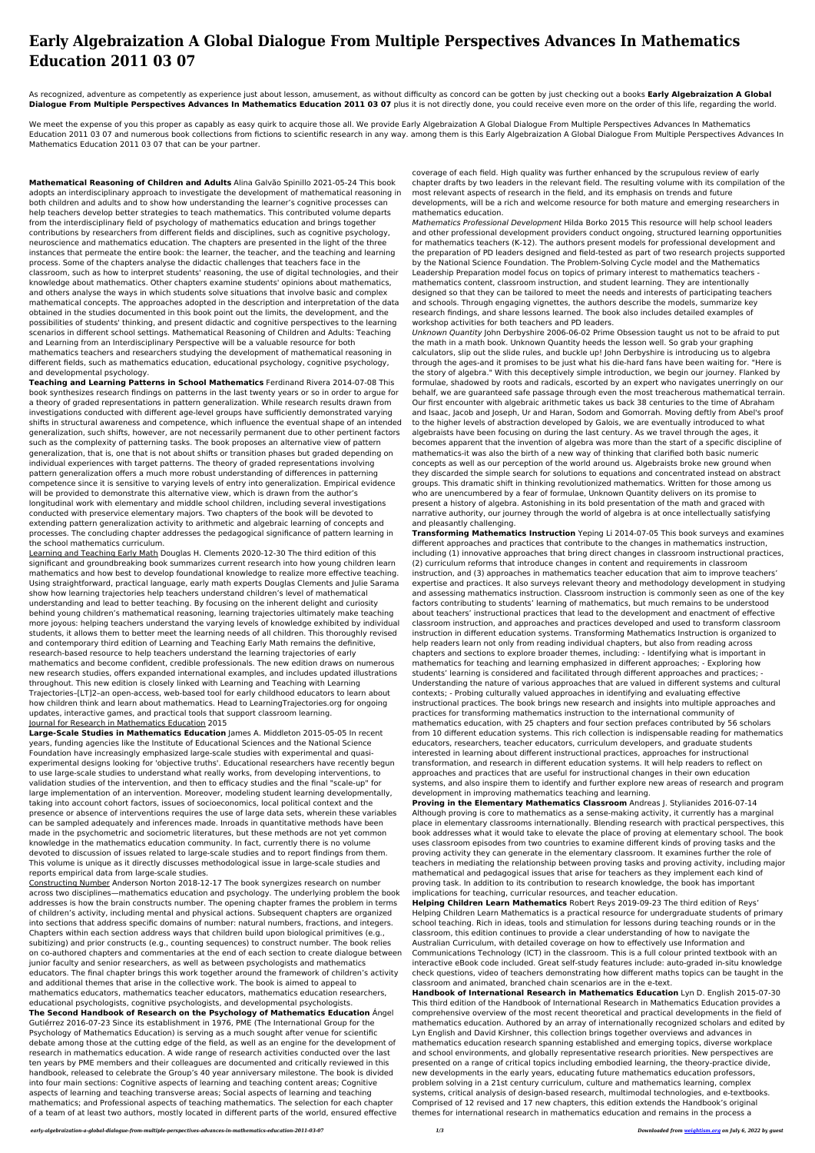As recognized, adventure as competently as experience just about lesson, amusement, as without difficulty as concord can be gotten by just checking out a books **Early Algebraization A Global Dialogue From Multiple Perspectives Advances In Mathematics Education 2011 03 07** plus it is not directly done, you could receive even more on the order of this life, regarding the world.

## **Early Algebraization A Global Dialogue From Multiple Perspectives Advances In Mathematics Education 2011 03 07**

We meet the expense of you this proper as capably as easy quirk to acquire those all. We provide Early Algebraization A Global Dialogue From Multiple Perspectives Advances In Mathematics Education 2011 03 07 and numerous book collections from fictions to scientific research in any way. among them is this Early Algebraization A Global Dialogue From Multiple Perspectives Advances In Mathematics Education 2011 03 07 that can be your partner.

**Mathematical Reasoning of Children and Adults** Alina Galvão Spinillo 2021-05-24 This book adopts an interdisciplinary approach to investigate the development of mathematical reasoning in both children and adults and to show how understanding the learner's cognitive processes can help teachers develop better strategies to teach mathematics. This contributed volume departs from the interdisciplinary field of psychology of mathematics education and brings together contributions by researchers from different fields and disciplines, such as cognitive psychology, neuroscience and mathematics education. The chapters are presented in the light of the three instances that permeate the entire book: the learner, the teacher, and the teaching and learning process. Some of the chapters analyse the didactic challenges that teachers face in the classroom, such as how to interpret students' reasoning, the use of digital technologies, and their knowledge about mathematics. Other chapters examine students' opinions about mathematics, and others analyse the ways in which students solve situations that involve basic and complex mathematical concepts. The approaches adopted in the description and interpretation of the data obtained in the studies documented in this book point out the limits, the development, and the possibilities of students' thinking, and present didactic and cognitive perspectives to the learning scenarios in different school settings. Mathematical Reasoning of Children and Adults: Teaching and Learning from an Interdisciplinary Perspective will be a valuable resource for both mathematics teachers and researchers studying the development of mathematical reasoning in different fields, such as mathematics education, educational psychology, cognitive psychology, and developmental psychology.

**Teaching and Learning Patterns in School Mathematics** Ferdinand Rivera 2014-07-08 This book synthesizes research findings on patterns in the last twenty years or so in order to argue for a theory of graded representations in pattern generalization. While research results drawn from investigations conducted with different age-level groups have sufficiently demonstrated varying shifts in structural awareness and competence, which influence the eventual shape of an intended generalization, such shifts, however, are not necessarily permanent due to other pertinent factors such as the complexity of patterning tasks. The book proposes an alternative view of pattern generalization, that is, one that is not about shifts or transition phases but graded depending on individual experiences with target patterns. The theory of graded representations involving pattern generalization offers a much more robust understanding of differences in patterning competence since it is sensitive to varying levels of entry into generalization. Empirical evidence will be provided to demonstrate this alternative view, which is drawn from the author's longitudinal work with elementary and middle school children, including several investigations conducted with preservice elementary majors. Two chapters of the book will be devoted to extending pattern generalization activity to arithmetic and algebraic learning of concepts and processes. The concluding chapter addresses the pedagogical significance of pattern learning in the school mathematics curriculum.

Learning and Teaching Early Math Douglas H. Clements 2020-12-30 The third edition of this significant and groundbreaking book summarizes current research into how young children learn mathematics and how best to develop foundational knowledge to realize more effective teaching. Using straightforward, practical language, early math experts Douglas Clements and Julie Sarama show how learning trajectories help teachers understand children's level of mathematical understanding and lead to better teaching. By focusing on the inherent delight and curiosity behind young children's mathematical reasoning, learning trajectories ultimately make teaching more joyous: helping teachers understand the varying levels of knowledge exhibited by individual students, it allows them to better meet the learning needs of all children. This thoroughly revised and contemporary third edition of Learning and Teaching Early Math remains the definitive, research-based resource to help teachers understand the learning trajectories of early mathematics and become confident, credible professionals. The new edition draws on numerous new research studies, offers expanded international examples, and includes updated illustrations throughout. This new edition is closely linked with Learning and Teaching with Learning Trajectories–[LT]2–an open-access, web-based tool for early childhood educators to learn about how children think and learn about mathematics. Head to LearningTrajectories.org for ongoing updates, interactive games, and practical tools that support classroom learning. Journal for Research in Mathematics Education 2015 **Large-Scale Studies in Mathematics Education** James A. Middleton 2015-05-05 In recent years, funding agencies like the Institute of Educational Sciences and the National Science Foundation have increasingly emphasized large-scale studies with experimental and quasiexperimental designs looking for 'objective truths'. Educational researchers have recently begun to use large-scale studies to understand what really works, from developing interventions, to validation studies of the intervention, and then to efficacy studies and the final "scale-up" for large implementation of an intervention. Moreover, modeling student learning developmentally, taking into account cohort factors, issues of socioeconomics, local political context and the presence or absence of interventions requires the use of large data sets, wherein these variables can be sampled adequately and inferences made. Inroads in quantitative methods have been made in the psychometric and sociometric literatures, but these methods are not yet common knowledge in the mathematics education community. In fact, currently there is no volume devoted to discussion of issues related to large-scale studies and to report findings from them. This volume is unique as it directly discusses methodological issue in large-scale studies and reports empirical data from large-scale studies. Constructing Number Anderson Norton 2018-12-17 The book synergizes research on number across two disciplines—mathematics education and psychology. The underlying problem the book addresses is how the brain constructs number. The opening chapter frames the problem in terms of children's activity, including mental and physical actions. Subsequent chapters are organized into sections that address specific domains of number: natural numbers, fractions, and integers. Chapters within each section address ways that children build upon biological primitives (e.g., subitizing) and prior constructs (e.g., counting sequences) to construct number. The book relies on co-authored chapters and commentaries at the end of each section to create dialogue between junior faculty and senior researchers, as well as between psychologists and mathematics educators. The final chapter brings this work together around the framework of children's activity and additional themes that arise in the collective work. The book is aimed to appeal to mathematics educators, mathematics teacher educators, mathematics education researchers, educational psychologists, cognitive psychologists, and developmental psychologists. **The Second Handbook of Research on the Psychology of Mathematics Education** Ángel Gutiérrez 2016-07-23 Since its establishment in 1976, PME (The International Group for the Psychology of Mathematics Education) is serving as a much sought after venue for scientific debate among those at the cutting edge of the field, as well as an engine for the development of research in mathematics education. A wide range of research activities conducted over the last ten years by PME members and their colleagues are documented and critically reviewed in this handbook, released to celebrate the Group's 40 year anniversary milestone. The book is divided into four main sections: Cognitive aspects of learning and teaching content areas; Cognitive aspects of learning and teaching transverse areas; Social aspects of learning and teaching mathematics; and Professional aspects of teaching mathematics. The selection for each chapter of a team of at least two authors, mostly located in different parts of the world, ensured effective

coverage of each field. High quality was further enhanced by the scrupulous review of early chapter drafts by two leaders in the relevant field. The resulting volume with its compilation of the most relevant aspects of research in the field, and its emphasis on trends and future developments, will be a rich and welcome resource for both mature and emerging researchers in mathematics education.

Mathematics Professional Development Hilda Borko 2015 This resource will help school leaders and other professional development providers conduct ongoing, structured learning opportunities for mathematics teachers (K-12). The authors present models for professional development and the preparation of PD leaders designed and field-tested as part of two research projects supported by the National Science Foundation. The Problem-Solving Cycle model and the Mathematics Leadership Preparation model focus on topics of primary interest to mathematics teachers mathematics content, classroom instruction, and student learning. They are intentionally designed so that they can be tailored to meet the needs and interests of participating teachers and schools. Through engaging vignettes, the authors describe the models, summarize key research findings, and share lessons learned. The book also includes detailed examples of workshop activities for both teachers and PD leaders.

Unknown Quantity John Derbyshire 2006-06-02 Prime Obsession taught us not to be afraid to put the math in a math book. Unknown Quantity heeds the lesson well. So grab your graphing calculators, slip out the slide rules, and buckle up! John Derbyshire is introducing us to algebra through the ages-and it promises to be just what his die-hard fans have been waiting for. "Here is the story of algebra." With this deceptively simple introduction, we begin our journey. Flanked by formulae, shadowed by roots and radicals, escorted by an expert who navigates unerringly on our behalf, we are guaranteed safe passage through even the most treacherous mathematical terrain. Our first encounter with algebraic arithmetic takes us back 38 centuries to the time of Abraham and Isaac, Jacob and Joseph, Ur and Haran, Sodom and Gomorrah. Moving deftly from Abel's proof to the higher levels of abstraction developed by Galois, we are eventually introduced to what algebraists have been focusing on during the last century. As we travel through the ages, it becomes apparent that the invention of algebra was more than the start of a specific discipline of mathematics-it was also the birth of a new way of thinking that clarified both basic numeric concepts as well as our perception of the world around us. Algebraists broke new ground when they discarded the simple search for solutions to equations and concentrated instead on abstract groups. This dramatic shift in thinking revolutionized mathematics. Written for those among us who are unencumbered by a fear of formulae, Unknown Quantity delivers on its promise to present a history of algebra. Astonishing in its bold presentation of the math and graced with narrative authority, our journey through the world of algebra is at once intellectually satisfying and pleasantly challenging.

**Transforming Mathematics Instruction** Yeping Li 2014-07-05 This book surveys and examines different approaches and practices that contribute to the changes in mathematics instruction, including (1) innovative approaches that bring direct changes in classroom instructional practices, (2) curriculum reforms that introduce changes in content and requirements in classroom instruction, and (3) approaches in mathematics teacher education that aim to improve teachers' expertise and practices. It also surveys relevant theory and methodology development in studying and assessing mathematics instruction. Classroom instruction is commonly seen as one of the key factors contributing to students' learning of mathematics, but much remains to be understood about teachers' instructional practices that lead to the development and enactment of effective classroom instruction, and approaches and practices developed and used to transform classroom instruction in different education systems. Transforming Mathematics Instruction is organized to help readers learn not only from reading individual chapters, but also from reading across chapters and sections to explore broader themes, including: - Identifying what is important in mathematics for teaching and learning emphasized in different approaches; - Exploring how students' learning is considered and facilitated through different approaches and practices; - Understanding the nature of various approaches that are valued in different systems and cultural contexts; - Probing culturally valued approaches in identifying and evaluating effective instructional practices. The book brings new research and insights into multiple approaches and practices for transforming mathematics instruction to the international community of mathematics education, with 25 chapters and four section prefaces contributed by 56 scholars from 10 different education systems. This rich collection is indispensable reading for mathematics educators, researchers, teacher educators, curriculum developers, and graduate students interested in learning about different instructional practices, approaches for instructional transformation, and research in different education systems. It will help readers to reflect on approaches and practices that are useful for instructional changes in their own education systems, and also inspire them to identify and further explore new areas of research and program development in improving mathematics teaching and learning. **Proving in the Elementary Mathematics Classroom** Andreas J. Stylianides 2016-07-14 Although proving is core to mathematics as a sense-making activity, it currently has a marginal place in elementary classrooms internationally. Blending research with practical perspectives, this book addresses what it would take to elevate the place of proving at elementary school. The book uses classroom episodes from two countries to examine different kinds of proving tasks and the proving activity they can generate in the elementary classroom. It examines further the role of teachers in mediating the relationship between proving tasks and proving activity, including major mathematical and pedagogical issues that arise for teachers as they implement each kind of proving task. In addition to its contribution to research knowledge, the book has important implications for teaching, curricular resources, and teacher education. **Helping Children Learn Mathematics** Robert Reys 2019-09-23 The third edition of Reys' Helping Children Learn Mathematics is a practical resource for undergraduate students of primary school teaching. Rich in ideas, tools and stimulation for lessons during teaching rounds or in the classroom, this edition continues to provide a clear understanding of how to navigate the Australian Curriculum, with detailed coverage on how to effectively use Information and Communications Technology (ICT) in the classroom. This is a full colour printed textbook with an interactive eBook code included. Great self-study features include: auto-graded in-situ knowledge check questions, video of teachers demonstrating how different maths topics can be taught in the classroom and animated, branched chain scenarios are in the e-text. **Handbook of International Research in Mathematics Education** Lyn D. English 2015-07-30 This third edition of the Handbook of International Research in Mathematics Education provides a comprehensive overview of the most recent theoretical and practical developments in the field of mathematics education. Authored by an array of internationally recognized scholars and edited by Lyn English and David Kirshner, this collection brings together overviews and advances in mathematics education research spanning established and emerging topics, diverse workplace and school environments, and globally representative research priorities. New perspectives are presented on a range of critical topics including embodied learning, the theory-practice divide, new developments in the early years, educating future mathematics education professors, problem solving in a 21st century curriculum, culture and mathematics learning, complex systems, critical analysis of design-based research, multimodal technologies, and e-textbooks. Comprised of 12 revised and 17 new chapters, this edition extends the Handbook's original themes for international research in mathematics education and remains in the process a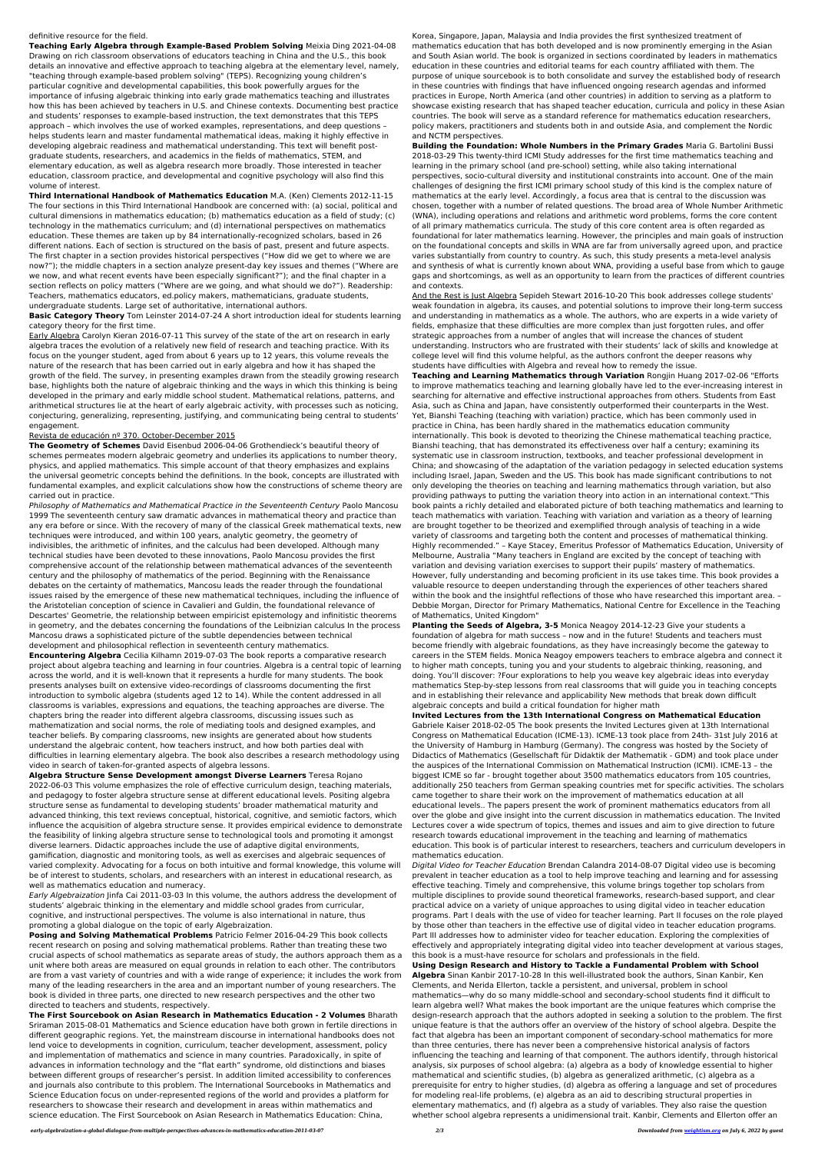## definitive resource for the field.

**Teaching Early Algebra through Example-Based Problem Solving** Meixia Ding 2021-04-08 Drawing on rich classroom observations of educators teaching in China and the U.S., this book details an innovative and effective approach to teaching algebra at the elementary level, namely, "teaching through example-based problem solving" (TEPS). Recognizing young children's particular cognitive and developmental capabilities, this book powerfully argues for the importance of infusing algebraic thinking into early grade mathematics teaching and illustrates how this has been achieved by teachers in U.S. and Chinese contexts. Documenting best practice and students' responses to example-based instruction, the text demonstrates that this TEPS approach – which involves the use of worked examples, representations, and deep questions – helps students learn and master fundamental mathematical ideas, making it highly effective in developing algebraic readiness and mathematical understanding. This text will benefit postgraduate students, researchers, and academics in the fields of mathematics, STEM, and elementary education, as well as algebra research more broadly. Those interested in teacher education, classroom practice, and developmental and cognitive psychology will also find this volume of interest.

**Third International Handbook of Mathematics Education** M.A. (Ken) Clements 2012-11-15 The four sections in this Third International Handbook are concerned with: (a) social, political and cultural dimensions in mathematics education; (b) mathematics education as a field of study; (c) technology in the mathematics curriculum; and (d) international perspectives on mathematics education. These themes are taken up by 84 internationally-recognized scholars, based in 26 different nations. Each of section is structured on the basis of past, present and future aspects. The first chapter in a section provides historical perspectives ("How did we get to where we are now?"); the middle chapters in a section analyze present-day key issues and themes ("Where are we now, and what recent events have been especially significant?"); and the final chapter in a section reflects on policy matters ("Where are we going, and what should we do?"). Readership: Teachers, mathematics educators, ed.policy makers, mathematicians, graduate students, undergraduate students. Large set of authoritative, international authors.

**Basic Category Theory** Tom Leinster 2014-07-24 A short introduction ideal for students learning category theory for the first time.

Early Algebra Carolyn Kieran 2016-07-11 This survey of the state of the art on research in early algebra traces the evolution of a relatively new field of research and teaching practice. With its focus on the younger student, aged from about 6 years up to 12 years, this volume reveals the nature of the research that has been carried out in early algebra and how it has shaped the growth of the field. The survey, in presenting examples drawn from the steadily growing research base, highlights both the nature of algebraic thinking and the ways in which this thinking is being developed in the primary and early middle school student. Mathematical relations, patterns, and arithmetical structures lie at the heart of early algebraic activity, with processes such as noticing, conjecturing, generalizing, representing, justifying, and communicating being central to students' engagement.

## Revista de educación nº 370. October-December 2015

**The Geometry of Schemes** David Eisenbud 2006-04-06 Grothendieck's beautiful theory of schemes permeates modern algebraic geometry and underlies its applications to number theory, physics, and applied mathematics. This simple account of that theory emphasizes and explains the universal geometric concepts behind the definitions. In the book, concepts are illustrated with fundamental examples, and explicit calculations show how the constructions of scheme theory are carried out in practice.

Philosophy of Mathematics and Mathematical Practice in the Seventeenth Century Paolo Mancosu 1999 The seventeenth century saw dramatic advances in mathematical theory and practice than any era before or since. With the recovery of many of the classical Greek mathematical texts, new techniques were introduced, and within 100 years, analytic geometry, the geometry of indivisibles, the arithmetic of infinites, and the calculus had been developed. Although many technical studies have been devoted to these innovations, Paolo Mancosu provides the first comprehensive account of the relationship between mathematical advances of the seventeenth century and the philosophy of mathematics of the period. Beginning with the Renaissance debates on the certainty of mathematics, Mancosu leads the reader through the foundational issues raised by the emergence of these new mathematical techniques, including the influence of the Aristotelian conception of science in Cavalieri and Guldin, the foundational relevance of Descartes' Geometrie, the relationship between empiricist epistemology and infinitistic theorems in geometry, and the debates concerning the foundations of the Leibnizian calculus In the process Mancosu draws a sophisticated picture of the subtle dependencies between technical development and philosophical reflection in seventeenth century mathematics. **Encountering Algebra** Cecilia Kilhamn 2019-07-03 The book reports a comparative research project about algebra teaching and learning in four countries. Algebra is a central topic of learning across the world, and it is well-known that it represents a hurdle for many students. The book presents analyses built on extensive video-recordings of classrooms documenting the first introduction to symbolic algebra (students aged 12 to 14). While the content addressed in all classrooms is variables, expressions and equations, the teaching approaches are diverse. The chapters bring the reader into different algebra classrooms, discussing issues such as mathematization and social norms, the role of mediating tools and designed examples, and teacher beliefs. By comparing classrooms, new insights are generated about how students understand the algebraic content, how teachers instruct, and how both parties deal with difficulties in learning elementary algebra. The book also describes a research methodology using video in search of taken-for-granted aspects of algebra lessons. **Algebra Structure Sense Development amongst Diverse Learners** Teresa Rojano 2022-06-03 This volume emphasizes the role of effective curriculum design, teaching materials, and pedagogy to foster algebra structure sense at different educational levels. Positing algebra structure sense as fundamental to developing students' broader mathematical maturity and advanced thinking, this text reviews conceptual, historical, cognitive, and semiotic factors, which influence the acquisition of algebra structure sense. It provides empirical evidence to demonstrate the feasibility of linking algebra structure sense to technological tools and promoting it amongst diverse learners. Didactic approaches include the use of adaptive digital environments, gamification, diagnostic and monitoring tools, as well as exercises and algebraic sequences of varied complexity. Advocating for a focus on both intuitive and formal knowledge, this volume will be of interest to students, scholars, and researchers with an interest in educational research, as well as mathematics education and numeracy.

Early Algebraization Jinfa Cai 2011-03-03 In this volume, the authors address the development of students' algebraic thinking in the elementary and middle school grades from curricular, cognitive, and instructional perspectives. The volume is also international in nature, thus promoting a global dialogue on the topic of early Algebraization.

**Posing and Solving Mathematical Problems** Patricio Felmer 2016-04-29 This book collects recent research on posing and solving mathematical problems. Rather than treating these two crucial aspects of school mathematics as separate areas of study, the authors approach them as a unit where both areas are measured on equal grounds in relation to each other. The contributors are from a vast variety of countries and with a wide range of experience; it includes the work from many of the leading researchers in the area and an important number of young researchers. The book is divided in three parts, one directed to new research perspectives and the other two directed to teachers and students, respectively.

**The First Sourcebook on Asian Research in Mathematics Education - 2 Volumes** Bharath Sriraman 2015-08-01 Mathematics and Science education have both grown in fertile directions in different geographic regions. Yet, the mainstream discourse in international handbooks does not lend voice to developments in cognition, curriculum, teacher development, assessment, policy and implementation of mathematics and science in many countries. Paradoxically, in spite of advances in information technology and the "flat earth" syndrome, old distinctions and biases between different groups of researcher's persist. In addition limited accessibility to conferences and journals also contribute to this problem. The International Sourcebooks in Mathematics and Science Education focus on under-represented regions of the world and provides a platform for researchers to showcase their research and development in areas within mathematics and science education. The First Sourcebook on Asian Research in Mathematics Education: China,

Korea, Singapore, Japan, Malaysia and India provides the first synthesized treatment of mathematics education that has both developed and is now prominently emerging in the Asian and South Asian world. The book is organized in sections coordinated by leaders in mathematics education in these countries and editorial teams for each country affiliated with them. The purpose of unique sourcebook is to both consolidate and survey the established body of research in these countries with findings that have influenced ongoing research agendas and informed practices in Europe, North America (and other countries) in addition to serving as a platform to showcase existing research that has shaped teacher education, curricula and policy in these Asian countries. The book will serve as a standard reference for mathematics education researchers, policy makers, practitioners and students both in and outside Asia, and complement the Nordic and NCTM perspectives.

**Building the Foundation: Whole Numbers in the Primary Grades** Maria G. Bartolini Bussi 2018-03-29 This twenty-third ICMI Study addresses for the first time mathematics teaching and learning in the primary school (and pre-school) setting, while also taking international perspectives, socio-cultural diversity and institutional constraints into account. One of the main challenges of designing the first ICMI primary school study of this kind is the complex nature of mathematics at the early level. Accordingly, a focus area that is central to the discussion was chosen, together with a number of related questions. The broad area of Whole Number Arithmetic (WNA), including operations and relations and arithmetic word problems, forms the core content of all primary mathematics curricula. The study of this core content area is often regarded as foundational for later mathematics learning. However, the principles and main goals of instruction on the foundational concepts and skills in WNA are far from universally agreed upon, and practice varies substantially from country to country. As such, this study presents a meta-level analysis and synthesis of what is currently known about WNA, providing a useful base from which to gauge gaps and shortcomings, as well as an opportunity to learn from the practices of different countries and contexts.

And the Rest is Just Algebra Sepideh Stewart 2016-10-20 This book addresses college students' weak foundation in algebra, its causes, and potential solutions to improve their long-term success and understanding in mathematics as a whole. The authors, who are experts in a wide variety of fields, emphasize that these difficulties are more complex than just forgotten rules, and offer strategic approaches from a number of angles that will increase the chances of student understanding. Instructors who are frustrated with their students' lack of skills and knowledge at college level will find this volume helpful, as the authors confront the deeper reasons why students have difficulties with Algebra and reveal how to remedy the issue.

**Teaching and Learning Mathematics through Variation** Rongjin Huang 2017-02-06 "Efforts to improve mathematics teaching and learning globally have led to the ever-increasing interest in searching for alternative and effective instructional approaches from others. Students from East Asia, such as China and Japan, have consistently outperformed their counterparts in the West. Yet, Bianshi Teaching (teaching with variation) practice, which has been commonly used in practice in China, has been hardly shared in the mathematics education community internationally. This book is devoted to theorizing the Chinese mathematical teaching practice, Bianshi teaching, that has demonstrated its effectiveness over half a century; examining its systematic use in classroom instruction, textbooks, and teacher professional development in China; and showcasing of the adaptation of the variation pedagogy in selected education systems including Israel, Japan, Sweden and the US. This book has made significant contributions to not only developing the theories on teaching and learning mathematics through variation, but also providing pathways to putting the variation theory into action in an international context."This book paints a richly detailed and elaborated picture of both teaching mathematics and learning to teach mathematics with variation. Teaching with variation and variation as a theory of learning are brought together to be theorized and exemplified through analysis of teaching in a wide variety of classrooms and targeting both the content and processes of mathematical thinking. Highly recommended." – Kaye Stacey, Emeritus Professor of Mathematics Education, University of Melbourne, Australia "Many teachers in England are excited by the concept of teaching with variation and devising variation exercises to support their pupils' mastery of mathematics. However, fully understanding and becoming proficient in its use takes time. This book provides a valuable resource to deepen understanding through the experiences of other teachers shared within the book and the insightful reflections of those who have researched this important area. -Debbie Morgan, Director for Primary Mathematics, National Centre for Excellence in the Teaching of Mathematics, United Kingdom" **Planting the Seeds of Algebra, 3-5** Monica Neagoy 2014-12-23 Give your students a foundation of algebra for math success – now and in the future! Students and teachers must become friendly with algebraic foundations, as they have increasingly become the gateway to careers in the STEM fields. Monica Neagoy empowers teachers to embrace algebra and connect it to higher math concepts, tuning you and your students to algebraic thinking, reasoning, and doing. You'll discover: ?Four explorations to help you weave key algebraic ideas into everyday mathematics Step-by-step lessons from real classrooms that will guide you in teaching concepts and in establishing their relevance and applicability New methods that break down difficult algebraic concepts and build a critical foundation for higher math **Invited Lectures from the 13th International Congress on Mathematical Education** Gabriele Kaiser 2018-02-05 The book presents the Invited Lectures given at 13th International Congress on Mathematical Education (ICME-13). ICME-13 took place from 24th- 31st July 2016 at the University of Hamburg in Hamburg (Germany). The congress was hosted by the Society of Didactics of Mathematics (Gesellschaft für Didaktik der Mathematik - GDM) and took place under the auspices of the International Commission on Mathematical Instruction (ICMI). ICME-13 – the biggest ICME so far - brought together about 3500 mathematics educators from 105 countries, additionally 250 teachers from German speaking countries met for specific activities. The scholars came together to share their work on the improvement of mathematics education at all educational levels.. The papers present the work of prominent mathematics educators from all over the globe and give insight into the current discussion in mathematics education. The Invited Lectures cover a wide spectrum of topics, themes and issues and aim to give direction to future research towards educational improvement in the teaching and learning of mathematics education. This book is of particular interest to researchers, teachers and curriculum developers in mathematics education. Digital Video for Teacher Education Brendan Calandra 2014-08-07 Digital video use is becoming prevalent in teacher education as a tool to help improve teaching and learning and for assessing effective teaching. Timely and comprehensive, this volume brings together top scholars from multiple disciplines to provide sound theoretical frameworks, research-based support, and clear practical advice on a variety of unique approaches to using digital video in teacher education programs. Part I deals with the use of video for teacher learning. Part II focuses on the role played by those other than teachers in the effective use of digital video in teacher education programs. Part III addresses how to administer video for teacher education. Exploring the complexities of effectively and appropriately integrating digital video into teacher development at various stages, this book is a must-have resource for scholars and professionals in the field. **Using Design Research and History to Tackle a Fundamental Problem with School Algebra** Sinan Kanbir 2017-10-28 In this well-illustrated book the authors, Sinan Kanbir, Ken Clements, and Nerida Ellerton, tackle a persistent, and universal, problem in school mathematics—why do so many middle-school and secondary-school students find it difficult to learn algebra well? What makes the book important are the unique features which comprise the design-research approach that the authors adopted in seeking a solution to the problem. The first unique feature is that the authors offer an overview of the history of school algebra. Despite the fact that algebra has been an important component of secondary-school mathematics for more than three centuries, there has never been a comprehensive historical analysis of factors influencing the teaching and learning of that component. The authors identify, through historical analysis, six purposes of school algebra: (a) algebra as a body of knowledge essential to higher mathematical and scientific studies, (b) algebra as generalized arithmetic, (c) algebra as a prerequisite for entry to higher studies, (d) algebra as offering a language and set of procedures for modeling real-life problems, (e) algebra as an aid to describing structural properties in elementary mathematics, and (f) algebra as a study of variables. They also raise the question whether school algebra represents a unidimensional trait. Kanbir, Clements and Ellerton offer an